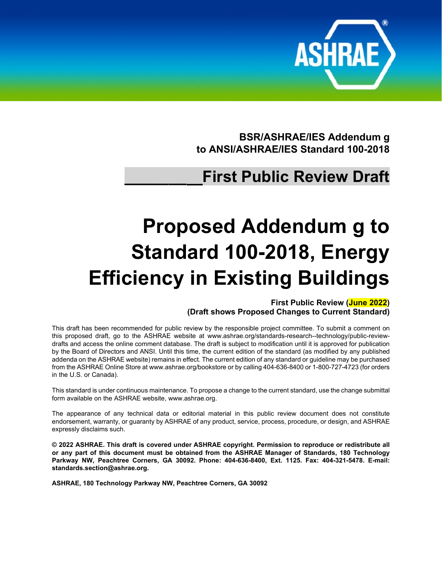

**BSR/ASHRAE/IES Addendum g to ANSI/ASHRAE/IES Standard 100-2018**

## **\_\_\_\_\_\_\_ First Public Review Draft**

# **Proposed Addendum g to Standard 100-2018, Energy Efficiency in Existing Buildings**

**First Public Review (June 2022) (Draft shows Proposed Changes to Current Standard)**

This draft has been recommended for public review by the responsible project committee. To submit a comment on this proposed draft, go to the ASHRAE website at [www.ashrae.org/standards-research--technology/public-review](http://www.ashrae.org/standards-research--technology/public-review-drafts)[drafts](http://www.ashrae.org/standards-research--technology/public-review-drafts) and access the online comment database. The draft is subject to modification until it is approved for publication by the Board of Directors and ANSI. Until this time, the current edition of the standard (as modified by any published addenda on the ASHRAE website) remains in effect. The current edition of any standard or guideline may be purchased from the ASHRAE Online Store a[t www.ashrae.org/bookstore](http://www.ashrae.org/bookstore) or by calling 404-636-8400 or 1-800-727-4723 (for orders in the U.S. or Canada).

This standard is under continuous maintenance. To propose a change to the current standard, use the change submittal form available on the ASHRAE website, [www.ashrae.org.](http://www.ashrae.org/)

The appearance of any technical data or editorial material in this public review document does not constitute endorsement, warranty, or guaranty by ASHRAE of any product, service, process, procedure, or design, and ASHRAE expressly disclaims such.

**© 2022 ASHRAE. This draft is covered under ASHRAE copyright. Permission to reproduce or redistribute all or any part of this document must be obtained from the ASHRAE Manager of Standards, 180 Technology Parkway NW, Peachtree Corners, GA 30092. Phone: 404-636-8400, Ext. 1125. Fax: 404-321-5478. E-mail: [standards.section@ashrae.org.](mailto:standards.section@ashrae.org)**

**ASHRAE, 180 Technology Parkway NW, Peachtree Corners, GA 30092**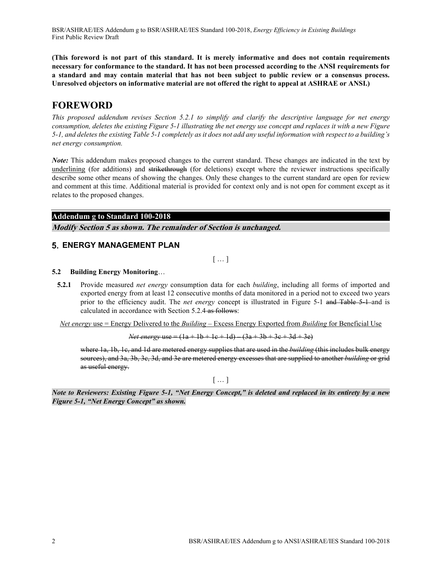BSR/ASHRAE/IES Addendum g to BSR/ASHRAE/IES Standard 100-2018, *Energy Efficiency in Existing Buildings* First Public Review Draft

**(This foreword is not part of this standard. It is merely informative and does not contain requirements necessary for conformance to the standard. It has not been processed according to the ANSI requirements for a standard and may contain material that has not been subject to public review or a consensus process. Unresolved objectors on informative material are not offered the right to appeal at ASHRAE or ANSI.)**

### **FOREWORD**

*This proposed addendum revises Section 5.2.1 to simplify and clarify the descriptive language for net energy consumption, deletes the existing Figure 5-1 illustrating the net energy use concept and replaces it with a new Figure 5-1, and deletes the existing Table 5-1 completely as it does not add any useful information with respect to a building's net energy consumption.*

*Note:* This addendum makes proposed changes to the current standard. These changes are indicated in the text by underlining (for additions) and strikethrough (for deletions) except where the reviewer instructions specifically describe some other means of showing the changes. Only these changes to the current standard are open for review and comment at this time. Additional material is provided for context only and is not open for comment except as it relates to the proposed changes.

#### **Addendum g to Standard 100-2018**

**Modify Section 5 as shown. The remainder of Section is unchanged.**

#### **ENERGY MANAGEMENT PLAN**

[ … ]

#### **5.2 Building Energy Monitoring**…

**5.2.1** Provide measured *net energy* consumption data for each *building*, including all forms of imported and exported energy from at least 12 consecutive months of data monitored in a period not to exceed two years prior to the efficiency audit. The *net energy* concept is illustrated in Figure 5-1 and Table 5-1 and is calculated in accordance with Section 5.2.4 as follows:

*Net energy* use = Energy Delivered to the *Building* – Excess Energy Exported from *Building* for Beneficial Use

*Net energy* use =  $(1a + 1b + 1c + 1d)$   $(3a + 3b + 3c + 3d + 3e)$ 

where 1a, 1b, 1c, and 1d are metered energy supplies that are used in the *building* (this includes bulk energy sources), and 3a, 3b, 3c, 3d, and 3e are metered energy excesses that are supplied to another *building* or grid as useful energy.

 $[...]$ 

*Note to Reviewers: Existing Figure 5-1, "Net Energy Concept," is deleted and replaced in its entirety by a new Figure 5-1, "Net Energy Concept" as shown.*